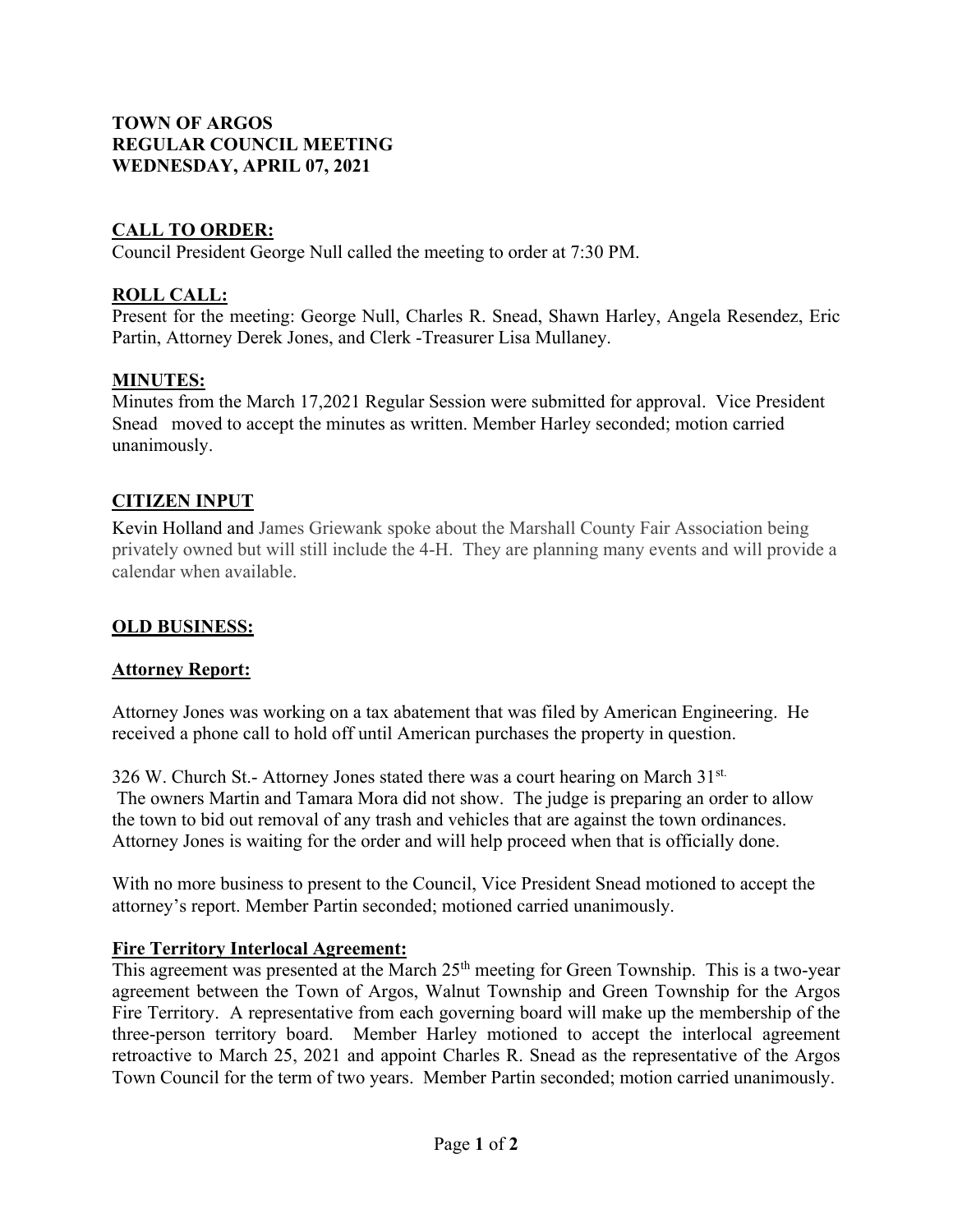# **TOWN OF ARGOS REGULAR COUNCIL MEETING WEDNESDAY, APRIL 07, 2021**

# **CALL TO ORDER:**

Council President George Null called the meeting to order at 7:30 PM.

# **ROLL CALL:**

Present for the meeting: George Null, Charles R. Snead, Shawn Harley, Angela Resendez, Eric Partin, Attorney Derek Jones, and Clerk -Treasurer Lisa Mullaney.

## **MINUTES:**

Minutes from the March 17,2021 Regular Session were submitted for approval. Vice President Snead moved to accept the minutes as written. Member Harley seconded; motion carried unanimously.

#### **CITIZEN INPUT**

Kevin Holland and James Griewank spoke about the Marshall County Fair Association being privately owned but will still include the 4-H. They are planning many events and will provide a calendar when available.

#### **OLD BUSINESS:**

#### **Attorney Report:**

Attorney Jones was working on a tax abatement that was filed by American Engineering. He received a phone call to hold off until American purchases the property in question.

326 W. Church St.- Attorney Jones stated there was a court hearing on March 31st. The owners Martin and Tamara Mora did not show. The judge is preparing an order to allow the town to bid out removal of any trash and vehicles that are against the town ordinances. Attorney Jones is waiting for the order and will help proceed when that is officially done.

With no more business to present to the Council, Vice President Snead motioned to accept the attorney's report. Member Partin seconded; motioned carried unanimously.

## **Fire Territory Interlocal Agreement:**

This agreement was presented at the March 25<sup>th</sup> meeting for Green Township. This is a two-year agreement between the Town of Argos, Walnut Township and Green Township for the Argos Fire Territory. A representative from each governing board will make up the membership of the three-person territory board. Member Harley motioned to accept the interlocal agreement retroactive to March 25, 2021 and appoint Charles R. Snead as the representative of the Argos Town Council for the term of two years. Member Partin seconded; motion carried unanimously.